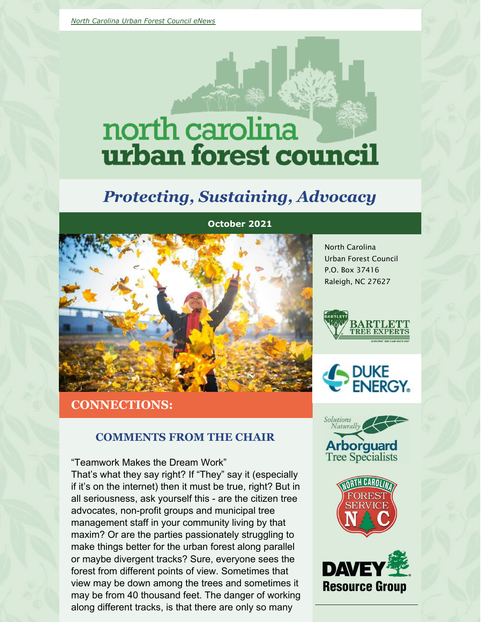# north carolina urban forest council

# *Protecting, Sustaining, Advocacy*



**CONNECTIONS:**

#### **COMMENTS FROM THE CHAIR**

"Teamwork Makes the Dream Work" That's what they say right? If "They" say it (especially if it's on the internet) then it must be true, right? But in all seriousness, ask yourself this - are the citizen tree advocates, non-profit groups and municipal tree management staff in your community living by that maxim? Or are the parties passionately struggling to make things better for the urban forest along parallel or maybe divergent tracks? Sure, everyone sees the forest from different points of view. Sometimes that view may be down among the trees and sometimes it may be from 40 thousand feet. The danger of working along different tracks, is that there are only so many

North Carolina Urban Forest Council P.O. Box 37416 Raleigh, NC 27627









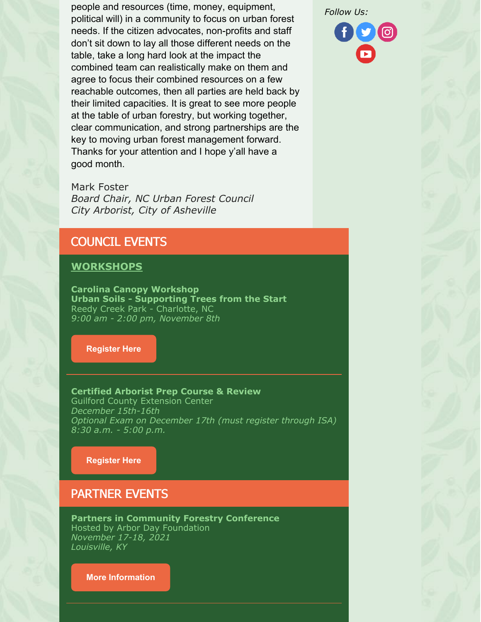people and resources (time, money, equipment, political will) in a community to focus on urban forest needs. If the citizen advocates, non-profits and staff don't sit down to lay all those different needs on the table, take a long hard look at the impact the combined team can realistically make on them and agree to focus their combined resources on a few reachable outcomes, then all parties are held back by their limited capacities. It is great to see more people at the table of urban forestry, but working together, clear communication, and strong partnerships are the key to moving urban forest management forward. Thanks for your attention and I hope y'all have a good month.

Mark Foster *Board Chair, NC Urban Forest Council City Arborist, City of Asheville*

# COUNCIL EVENTS

#### **WORKSHOPS**

**Carolina Canopy Workshop Urban Soils - Supporting Trees from the Start** Reedy Creek Park - Charlotte, NC *9:00 am - 2:00 pm, November 8th*

**[Register](https://www.ncufc.org/event.php?id=28) Here**

**Certified Arborist Prep Course & Review** Guilford County Extension Center *December 15th-16th Optional Exam on December 17th (must register through ISA) 8:30 a.m. - 5:00 p.m.*

**[Register](https://www.ncufc.org/event.php?id=75) Here**

#### PARTNER EVENTS

**Partners in Community Forestry Conference** Hosted by Arbor Day Foundation *November 17-18, 2021 Louisville, KY*

**More [Information](https://www.arborday.org/programs/pcf/)**

*Follow Us:*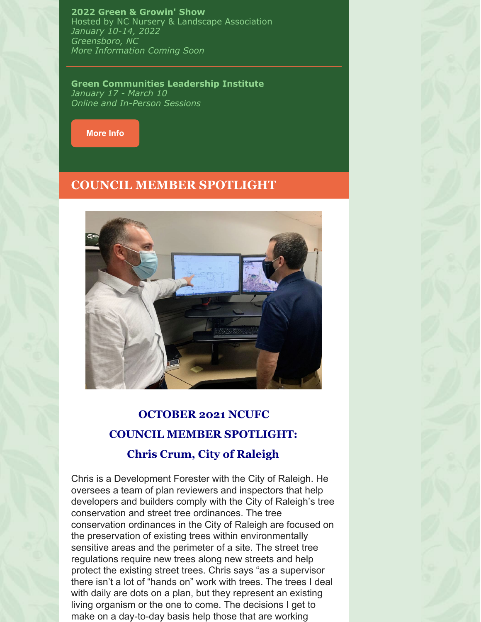**2022 Green & Growin' Show** Hosted by NC Nursery & Landscape Association *January 10-14, 2022 Greensboro, NC More Information Coming Soon*

**Green Communities Leadership Institute** *January 17 - March 10 Online and In-Person Sessions*



#### **COUNCIL MEMBER SPOTLIGHT**



# **OCTOBER 2021 NCUFC COUNCIL MEMBER SPOTLIGHT: Chris Crum, City of Raleigh**

Chris is a Development Forester with the City of Raleigh. He oversees a team of plan reviewers and inspectors that help developers and builders comply with the City of Raleigh's tree conservation and street tree ordinances. The tree conservation ordinances in the City of Raleigh are focused on the preservation of existing trees within environmentally sensitive areas and the perimeter of a site. The street tree regulations require new trees along new streets and help protect the existing street trees. Chris says "as a supervisor there isn't a lot of "hands on" work with trees. The trees I deal with daily are dots on a plan, but they represent an existing living organism or the one to come. The decisions I get to make on a day-to-day basis help those that are working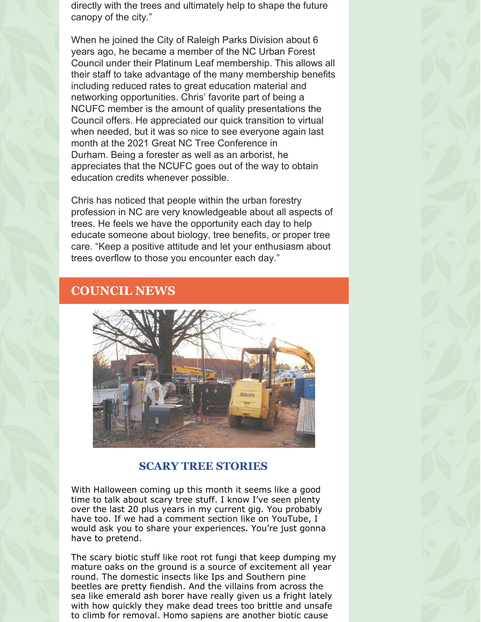directly with the trees and ultimately help to shape the future canopy of the city."

When he joined the City of Raleigh Parks Division about 6 years ago, he became a member of the NC Urban Forest Council under their Platinum Leaf membership. This allows all their staff to take advantage of the many membership benefits including reduced rates to great education material and networking opportunities. Chris' favorite part of being a NCUFC member is the amount of quality presentations the Council offers. He appreciated our quick transition to virtual when needed, but it was so nice to see everyone again last month at the 2021 Great NC Tree Conference in Durham. Being a forester as well as an arborist, he appreciates that the NCUFC goes out of the way to obtain education credits whenever possible.

Chris has noticed that people within the urban forestry profession in NC are very knowledgeable about all aspects of trees. He feels we have the opportunity each day to help educate someone about biology, tree benefits, or proper tree care. "Keep a positive attitude and let your enthusiasm about trees overflow to those you encounter each day."

# **COUNCIL NEWS**



#### **SCARY TREE STORIES**

With Halloween coming up this month it seems like a good time to talk about scary tree stuff. I know I've seen plenty over the last 20 plus years in my current gig. You probably have too. If we had a comment section like on YouTube, I would ask you to share your experiences. You're just gonna have to pretend.

The scary biotic stuff like root rot fungi that keep dumping my mature oaks on the ground is a source of excitement all year round. The domestic insects like Ips and Southern pine beetles are pretty fiendish. And the villains from across the sea like emerald ash borer have really given us a fright lately with how quickly they make dead trees too brittle and unsafe to climb for removal. Homo sapiens are another biotic cause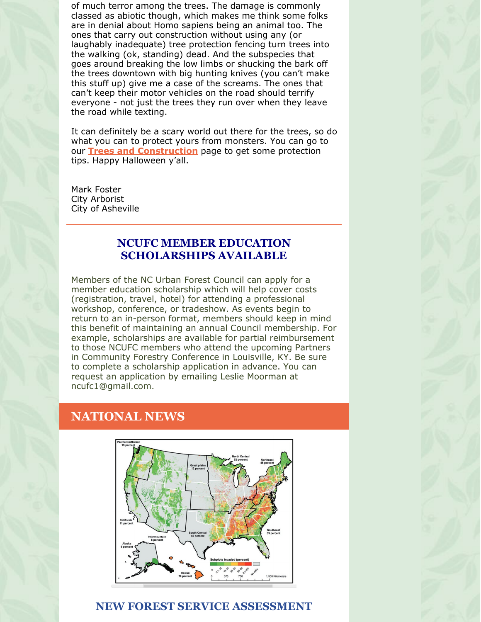of much terror among the trees. The damage is commonly classed as abiotic though, which makes me think some folks are in denial about Homo sapiens being an animal too. The ones that carry out construction without using any (or laughably inadequate) tree protection fencing turn trees into the walking (ok, standing) dead. And the subspecies that goes around breaking the low limbs or shucking the bark off the trees downtown with big hunting knives (you can't make this stuff up) give me a case of the screams. The ones that can't keep their motor vehicles on the road should terrify everyone - not just the trees they run over when they leave the road while texting.

It can definitely be a scary world out there for the trees, so do what you can to protect yours from monsters. You can go to our **Trees and [Construction](https://www.ncufc.org/tree-protection-during-construction.php)** page to get some protection tips. Happy Halloween y'all.

Mark Foster City Arborist City of Asheville

#### **NCUFC MEMBER EDUCATION SCHOLARSHIPS AVAILABLE**

Members of the NC Urban Forest Council can apply for a member education scholarship which will help cover costs (registration, travel, hotel) for attending a professional workshop, conference, or tradeshow. As events begin to return to an in-person format, members should keep in mind this benefit of maintaining an annual Council membership. For example, scholarships are available for partial reimbursement to those NCUFC members who attend the upcoming Partners in Community Forestry Conference in Louisville, KY. Be sure to complete a scholarship application in advance. You can request an application by emailing Leslie Moorman at ncufc1@gmail.com.

# **NATIONAL NEWS**



#### **NEW FOREST SERVICE ASSESSMENT**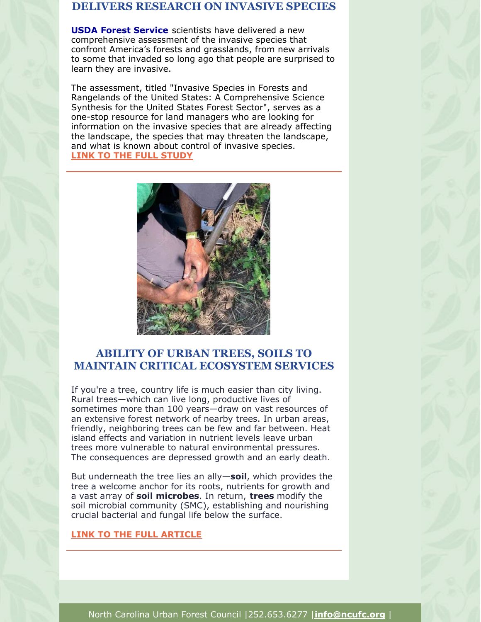#### **DELIVERS RESEARCH ON INVASIVE SPECIES**

**[USDA](https://www.usda.gov/) Forest [Service](https://www.fs.usda.gov/)** scientists have delivered a new comprehensive assessment of the invasive species that confront America's forests and grasslands, from new arrivals to some that invaded so long ago that people are surprised to learn they are invasive.

The assessment, titled "Invasive Species in Forests and Rangelands of the United States: A Comprehensive Science Synthesis for the United States Forest Sector", serves as a one-stop resource for land managers who are looking for information on the invasive species that are already affecting the landscape, the species that may threaten the landscape, and what is known about control of invasive species. **LINK TO THE FULL [STUDY](https://www.nrs.fs.fed.us/news/release/invasive-species-assessment)**



# **ABILITY OF URBAN TREES, SOILS TO MAINTAIN CRITICAL ECOSYSTEM SERVICES**

If you're a tree, country life is much easier than city living. Rural trees—which can live long, productive lives of sometimes more than 100 years—draw on vast resources of an extensive forest network of nearby trees. In urban areas, friendly, neighboring trees can be few and far between. Heat island effects and variation in nutrient levels leave urban trees more vulnerable to natural environmental pressures. The consequences are depressed growth and an early death.

But underneath the tree lies an ally—**[soil](https://phys.org/tags/soil/)**, which provides the tree a welcome anchor for its roots, nutrients for growth and a vast array of **soil [microbes](https://phys.org/tags/soil+microbes/)**. In return, **[trees](https://phys.org/tags/trees/)** modify the soil microbial community (SMC), establishing and nourishing crucial bacterial and fungal life below the surface.

#### **LINK TO THE FULL [ARTICLE](https://phys.org/news/2021-08-ability-urban-trees-soils-critical.html)**